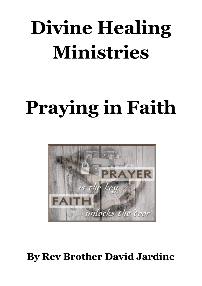# **Divine Healing Ministries**

# **Praying in Faith**



# **By Rev Brother David Jardine**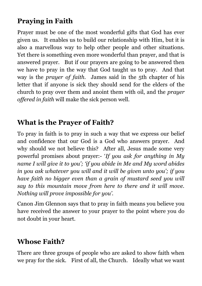# **Praying in Faith**

Prayer must be one of the most wonderful gifts that God has ever given us. It enables us to build our relationship with Him, but it is also a marvellous way to help other people and other situations. Yet there is something even more wonderful than prayer, and that is answered prayer. But if our prayers are going to be answered then we have to pray in the way that God taught us to pray. And that way is the *prayer of faith.* James said in the 5th chapter of his letter that if anyone is sick they should send for the elders of the church to pray over them and anoint them with oil, and the *prayer offered in faith* will make the sick person well.

## **What is the Prayer of Faith?**

To pray in faith is to pray in such a way that we express our belief and confidence that our God is a God who answers prayer. And why should we not believe this? After all, Jesus made some very powerful promises about prayer:- '*If you ask for anything in My name I will give it to you'; 'if you abide in Me and My word abides in you ask whatever you will and it will be given unto you'; if you have faith no bigger even than a grain of mustard seed you will say to this mountain move from here to there and it will move. Nothing will prove impossible for you'.*

Canon Jim Glennon says that to pray in faith means you believe you have received the answer to your prayer to the point where you do not doubt in your heart.

# **Whose Faith?**

There are three groups of people who are asked to show faith when we pray for the sick. First of all, the Church. Ideally what we want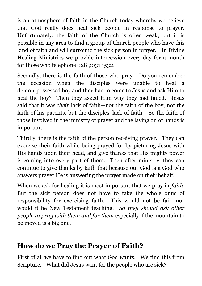is an atmosphere of faith in the Church today whereby we believe that God really does heal sick people in response to prayer. Unfortunately, the faith of the Church is often weak, but it is possible in any area to find a group of Church people who have this kind of faith and will surround the sick person in prayer. In Divine Healing Ministries we provide intercession every day for a month for those who telephone 028 9031 1532.

Secondly, there is the faith of those who pray. Do you remember the occasion when the disciples were unable to heal a demon-possessed boy and they had to come to Jesus and ask Him to heal the boy? Then they asked Him why they had failed. Jesus said that it was *their* lack of faith—not the faith of the boy, not the faith of his parents, but the disciples' lack of faith. So the faith of those involved in the ministry of prayer and the laying on of hands is important.

Thirdly, there is the faith of the person receiving prayer. They can exercise their faith while being prayed for by picturing Jesus with His hands upon their head, and give thanks that His mighty power is coming into every part of them. Then after ministry, they can continue to give thanks by faith that because our God is a God who answers prayer He is answering the prayer made on their behalf.

When we ask for healing it is most important that we pray in *faith*. But the sick person does not have to take the whole onus of responsibility for exercising faith. This would not be fair, nor would it be New Testament teaching. *So they should ask other people to pray with them and for them* especially if the mountain to be moved is a big one.

#### **How do we Pray the Prayer of Faith?**

First of all we have to find out what God wants. We find this from Scripture. What did Jesus want for the people who are sick?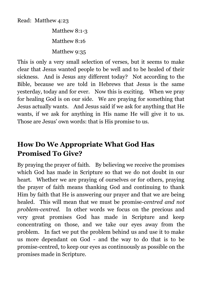Read: Matthew 4:23

Matthew 8:1-3 Matthew 8:16 Matthew 9:35

This is only a very small selection of verses, but it seems to make clear that Jesus wanted people to be well and to be healed of their sickness. And is Jesus any different today? Not according to the Bible, because we are told in Hebrews that Jesus is the same yesterday, today and for ever. Now this is exciting. When we pray for healing God is on our side. We are praying for something that Jesus actually wants. And Jesus said if we ask for anything that He wants, if we ask for anything in His name He will give it to us. Those are Jesus' own words: that is His promise to us.

# **How Do We Appropriate What God Has Promised To Give?**

By praying the prayer of faith. By believing we receive the promises which God has made in Scripture so that we do not doubt in our heart. Whether we are praying of ourselves or for others, praying the prayer of faith means thanking God and continuing to thank Him by faith that He is answering our prayer and that we are being healed. This will mean that we must be promise-*centred and not problem-centred.* In other words we focus on the precious and very great promises God has made in Scripture and keep concentrating on those, and we take our eyes away from the problem. In fact we put the problem behind us and use it to make us more dependant on God - and the way to do that is to be promise-centred, to keep our eyes as continuously as possible on the promises made in Scripture.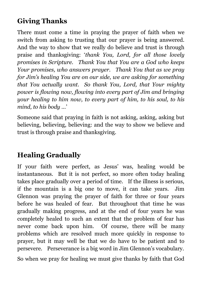# **Giving Thanks**

There must come a time in praying the prayer of faith when we switch from asking to trusting that our prayer is being answered. And the way to show that we really do believe and trust is through praise and thanksgiving: '*thank You, Lord, for all those lovely promises in Scripture. Thank You that You are a God who keeps Your promises, who answers prayer. Thank You that as we pray for Jim's healing You are on our side, we are asking for something that You actually want. So thank You, Lord, that Your mighty power is flowing now, flowing into every part of Jim and bringing your healing to him now, to every part of him, to his soul, to his mind, to his body …*'

Someone said that praying in faith is not asking, asking, asking but believing, believing, believing: and the way to show we believe and trust is through praise and thanksgiving.

# **Healing Gradually**

If your faith were perfect, as Jesus' was, healing would be instantaneous. But it is not perfect, so more often today healing takes place gradually over a period of time. If the illness is serious, if the mountain is a big one to move, it can take years. Jim Glennon was praying the prayer of faith for three or four years before he was healed of fear. But throughout that time he was gradually making progress, and at the end of four years he was completely healed to such an extent that the problem of fear has never come back upon him. Of course, there will be many problems which are resolved much more quickly in response to prayer, but it may well be that we do have to be patient and to persevere. Perseverance is a big word in Jim Glennon's vocabulary.

So when we pray for healing we must give thanks by faith that God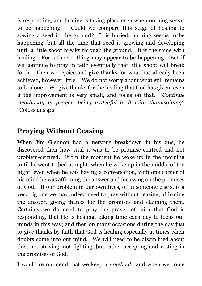is responding, and healing is taking place even when nothing *seems*  to be happening. Could we compare this stage of healing to sowing a seed in the ground? It is buried, nothing seems to be happening, but all the time that seed is growing and developing until a little shoot breaks through the ground. It is the same with healing. For a time nothing may appear to be happening. But if we continue to pray in faith eventually that little shoot will break forth. Then we rejoice and give thanks for what has already been achieved, however little. We do not worry about what still remains to be done. We give thanks for the healing that God has given, even if the improvement is very small, and focus on that. '*Continue steadfastly in prayer, being watchful in it with thanksgiving'*. (Colossians 4:2)

# **Praying Without Ceasing**

When Jim Glennon had a nervous breakdown in his 20s, he discovered then how vital it was to be promise-centred and not problem-centred. From the moment he woke up in the morning until he went to bed at night, when he woke up in the middle of the night, even when he was having a conversation, with one corner of his mind he was affirming the answer and focussing on the promises of God. If our problem in our own lives, or in someone else's, is a very big one we may indeed need to pray without ceasing, affirming the answer, giving thanks for the promises and claiming them. Certainly we do need to pray the prayer of faith that God is responding, that He is healing, taking time each day to focus our minds in this way; and then on many occasions during the day just to give thanks by faith that God is healing especially at times when doubts come into our mind. We will need to be disciplined about this, not striving, not fighting, but rather accepting and resting in the promises of God.

I would recommend that we keep a *notebook*, and when we come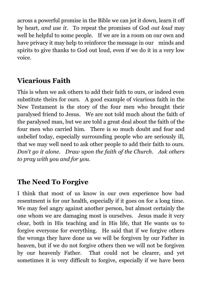across a powerful promise in the Bible we can jot it down, learn it off by heart, *and use it*. To repeat the promises of God *out loud* may well be helpful to some people. If we are in a room on our own and have privacy it may help to reinforce the message in our minds and spirits to give thanks to God out loud, even if we do it in a very low voice.

#### **Vicarious Faith**

This is when we ask others to add their faith to ours, or indeed even substitute theirs for ours. A good example of vicarious faith in the New Testament is the story of the four men who brought their paralysed friend to Jesus. We are not told much about the faith of the paralysed man, but we are told a great deal about the faith of the four men who carried him. There is so much doubt and fear and unbelief today, especially surrounding people who are seriously ill, that we may well need to ask other people to add their faith to ours. *Don't go it alone*. *Draw upon the faith of the Church. Ask others to pray with you and for you.* 

#### **The Need To Forgive**

I think that most of us know in our own experience how bad resentment is for our health, especially if it goes on for a long time. We may feel angry against another person, but almost certainly the one whom we are damaging most is ourselves. Jesus made it very clear, both in His teaching and in His life, that He wants us to forgive everyone for everything. He said that if we forgive others the wrongs they have done us we will be forgiven by our Father in heaven, but if we do not forgive others then we will not be forgiven by our heavenly Father. That could not be clearer, and yet sometimes it is very difficult to forgive, especially if we have been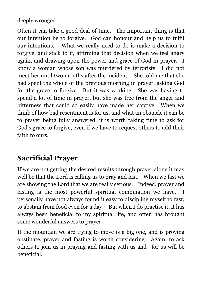deeply wronged.

Often it can take a good deal of time. The important thing is that our intention be to forgive. God can honour and help us to fulfil our intentions. What we really need to do is make a decision to forgive, and stick to it, affirming that decision when we feel angry again, and drawing upon the power and grace of God in prayer. I know a woman whose son was murdered by terrorists. I did not meet her until two months after the incident. She told me that she had spent the whole of the previous morning in prayer, asking God for the grace to forgive. But it was working. She was having to spend a lot of time in prayer, but she was free from the anger and bitterness that could so easily have made her captive. When we think of how bad resentment is for us, and what an obstacle it can be to prayer being fully answered, it is worth taking time to ask for God's grace to forgive, even if we have to request others to add their faith to ours.

### **Sacrificial Prayer**

If we are not getting the desired results through prayer alone it may well be that the Lord is calling us to pray and fast. When we fast we are showing the Lord that we are really serious. Indeed, prayer and fasting is the most powerful spiritual combination we have. I personally have not always found it easy to discipline myself to fast, to abstain from food even for a day. But when I do practise it, it has always been beneficial to my spiritual life, and often has brought some wonderful answers to prayer.

If the mountain we are trying to move is a big one, and is proving obstinate, prayer and fasting is worth considering. Again, to ask others to join us in praying and fasting with us and for us will be beneficial.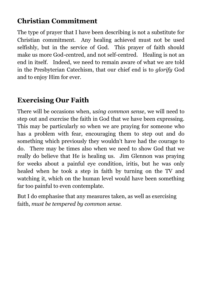# **Christian Commitment**

The type of prayer that I have been describing is not a substitute for Christian commitment. Any healing achieved must not be used selfishly, but in the service of God. This prayer of faith should make us more God-centred, and not self-centred. Healing is not an end in itself. Indeed, we need to remain aware of what we are told in the Presbyterian Catechism, that our chief end is to *glorify* God and to enjoy Him for ever.

# **Exercising Our Faith**

There will be occasions when, *using common sense*, we will need to step out and exercise the faith in God that we have been expressing. This may be particularly so when we are praying for someone who has a problem with fear, encouraging them to step out and do something which previously they wouldn't have had the courage to do. There may be times also when we need to show God that we really do believe that He is healing us. Jim Glennon was praying for weeks about a painful eye condition, iritis, but he was only healed when he took a step in faith by turning on the TV and watching it, which on the human level would have been something far too painful to even contemplate.

But I do emphasise that any measures taken, as well as exercising faith, *must be tempered by common sense.*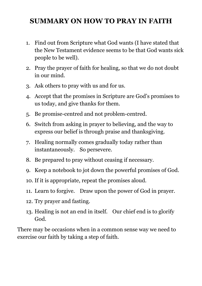### **SUMMARY ON HOW TO PRAY IN FAITH**

- 1. Find out from Scripture what God wants (I have stated that the New Testament evidence seems to be that God wants sick people to be well).
- 2. Pray the prayer of faith for healing, so that we do not doubt in our mind.
- 3. Ask others to pray with us and for us.
- 4. Accept that the promises in Scripture are God's promises to us today, and give thanks for them.
- 5. Be promise-centred and not problem-centred.
- 6. Switch from asking in prayer to believing, and the way to express our belief is through praise and thanksgiving.
- 7. Healing normally comes gradually today rather than instantaneously. So persevere.
- 8. Be prepared to pray without ceasing if necessary.
- 9. Keep a notebook to jot down the powerful promises of God.
- 10. If it is appropriate, repeat the promises aloud.
- 11. Learn to forgive. Draw upon the power of God in prayer.
- 12. Try prayer and fasting.
- 13. Healing is not an end in itself. Our chief end is to glorify God.

There may be occasions when in a common sense way we need to exercise our faith by taking a step of faith.